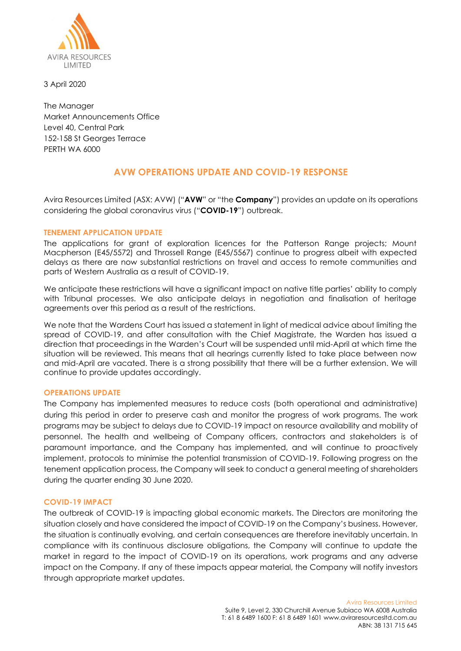

3 April 2020

The Manager Market Announcements Office Level 40, Central Park 152-158 St Georges Terrace PERTH WA 6000

# **AVW OPERATIONS UPDATE AND COVID-19 RESPONSE**

Avira Resources Limited (ASX: AVW) ("**AVW**" or "the **Company**") provides an update on its operations considering the global coronavirus virus ("**COVID-19**") outbreak.

## **TENEMENT APPLICATION UPDATE**

The applications for grant of exploration licences for the Patterson Range projects; Mount Macpherson (E45/5572) and Throssell Range (E45/5567) continue to progress albeit with expected delays as there are now substantial restrictions on travel and access to remote communities and parts of Western Australia as a result of COVID-19.

We anticipate these restrictions will have a significant impact on native title parties' ability to comply with Tribunal processes. We also anticipate delays in negotiation and finalisation of heritage agreements over this period as a result of the restrictions.

We note that the Wardens Court has issued a statement in light of medical advice about limiting the spread of COVID-19, and after consultation with the Chief Magistrate, the Warden has issued a direction that proceedings in the Warden's Court will be suspended until mid-April at which time the situation will be reviewed. This means that all hearings currently listed to take place between now and mid-April are vacated. There is a strong possibility that there will be a further extension. We will continue to provide updates accordingly.

### **OPERATIONS UPDATE**

The Company has implemented measures to reduce costs (both operational and administrative) during this period in order to preserve cash and monitor the progress of work programs. The work programs may be subject to delays due to COVID-19 impact on resource availability and mobility of personnel. The health and wellbeing of Company officers, contractors and stakeholders is of paramount importance, and the Company has implemented, and will continue to proactively implement, protocols to minimise the potential transmission of COVID-19. Following progress on the tenement application process, the Company will seek to conduct a general meeting of shareholders during the quarter ending 30 June 2020.

### **COVID-19 IMPACT**

The outbreak of COVID-19 is impacting global economic markets. The Directors are monitoring the situation closely and have considered the impact of COVID-19 on the Company's business. However, the situation is continually evolving, and certain consequences are therefore inevitably uncertain. In compliance with its continuous disclosure obligations, the Company will continue to update the market in regard to the impact of COVID-19 on its operations, work programs and any adverse impact on the Company. If any of these impacts appear material, the Company will notify investors through appropriate market updates.